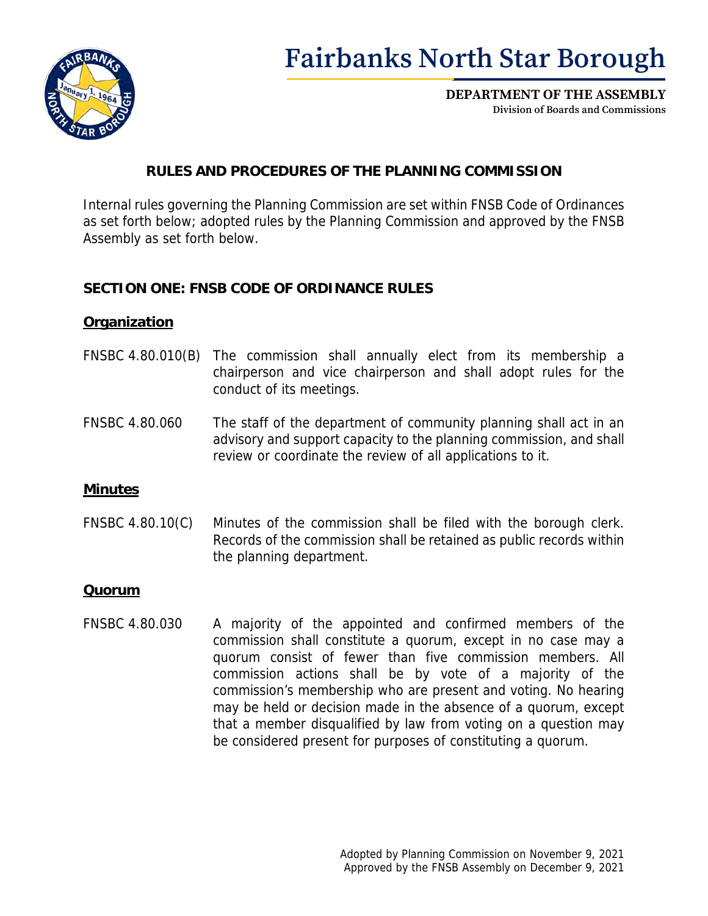

# **Fairbanks North Star Borough**

**DEPARTMENT OF THE ASSEMBLY Division of Boards and Commissions**

# **RULES AND PROCEDURES OF THE PLANNING COMMISSION**

Internal rules governing the Planning Commission are set within FNSB Code of Ordinances as set forth below; adopted rules by the Planning Commission and approved by the FNSB Assembly as set forth below.

## **SECTION ONE: FNSB CODE OF ORDINANCE RULES**

#### **Organization**

- FNSBC 4.80.010(B) The commission shall annually [elect](https://fnsb.borough.codes/FNSBC/1.04.010__09a80e7f4952a3c88748ecfe45027e86) from its membership a chairperson and vice chairperson and shall adopt rules for the conduct of its meetings.
- FNSBC 4.80.060 The staff of the department of community planning shall act in an advisory and support capacity to the planning commission, and shall review or coordinate the review of all applications to it.

#### **Minutes**

FNSBC 4.80.10(C) Minutes of the commission shall be filed with the borough clerk. Records of the commission shall be retained as public records within the planning department.

#### **Quorum**

FNSBC 4.80.030 A majority of the appointed and confirmed members of the commission shall constitute a quorum, except in no case may a quorum consist of fewer than five commission members. All commission actions shall be by vote of a majority of the commission's membership who are present and voting. No hearing may be held or decision made in the absence of a quorum, except that a member disqualified by law from voting on a question may be considered present for purposes of constituting a quorum.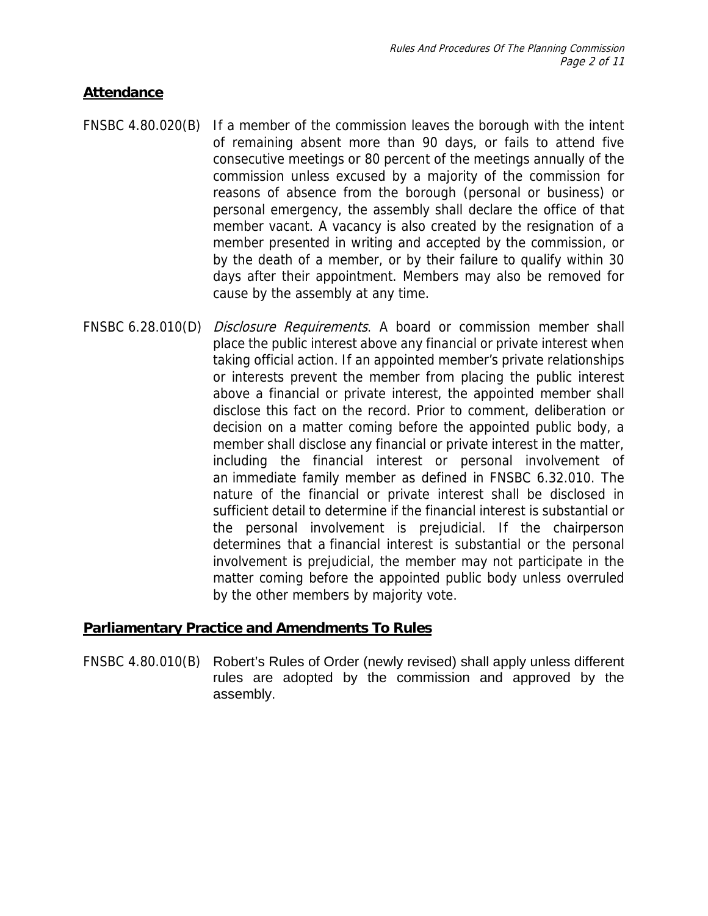## **Attendance**

- FNSBC 4.80.020(B) If a member of the commission leaves the [borough](https://fnsb.borough.codes/FNSBC/1.04.010__70f25198ee95e65e0994970378c2c405) with the intent of remaining absent more than 90 days, or fails to attend five consecutive meetings or 80 percent of the meetings annually of the commission unless excused by a majority of the commission for reasons of absence from the [borough](https://fnsb.borough.codes/FNSBC/1.04.010__70f25198ee95e65e0994970378c2c405) (personal or business) or personal emergency, the [assembly](https://fnsb.borough.codes/FNSBC/1.04.010__834c2e3fcaa3299717cc419022584d04) shall declare the office of that member vacant. A vacancy is also created by the resignation of a member presented in writing and accepted by the commission, or by the death of a member, or by their failure to qualify within 30 days after their appointment. Members may also be removed for cause by the [assembly](https://fnsb.borough.codes/FNSBC/1.04.010__834c2e3fcaa3299717cc419022584d04) at any time.
- FNSBC 6.28.010(D) *Disclosure Requirements*. A [board](https://fnsb.borough.codes/FNSBC/6.04.010__042c0210b1f9a06d64f89f09b51d522f) or commission member shall place the public interest above any financial or private interest when taking official action. If an appointed member's private relationships or interests prevent the member from placing the public interest above a financial or private interest, the appointed member shall disclose this fact on the record. Prior to comment, deliberation or decision on a matter coming before the appointed public body, a member shall disclose any financial or private interest in the matter, [including](https://fnsb.borough.codes/FNSBC/1.04.010__864d8dd1270a6d4921434aaf8a87597f) the [financial interest](https://fnsb.borough.codes/FNSBC/6.04.010__711412a35876095136eba956bd80146d) or personal involvement of an [immediate family member](https://fnsb.borough.codes/FNSBC/6.04.010__8f89b74431e7b9ee8297d79b22d2732d) as defined in FNSBC [6.32.010.](https://fnsb.borough.codes/FNSBC/6.32.010) The nature of the financial or private interest shall be disclosed in sufficient detail to determine if the [financial interest](https://fnsb.borough.codes/FNSBC/6.04.010__711412a35876095136eba956bd80146d) is substantial or the personal involvement is prejudicial. If the chairperson determines that a [financial interest](https://fnsb.borough.codes/FNSBC/6.04.010__711412a35876095136eba956bd80146d) is substantial or the personal involvement is prejudicial, the member may not participate in the matter coming before the appointed public body unless overruled by the other members by majority vote.

# **Parliamentary Practice and Amendments To Rules**

FNSBC 4.80.010(B) Robert's Rules of Order (newly revised) shall apply unless different rules are adopted by the commission and approved by the assembly.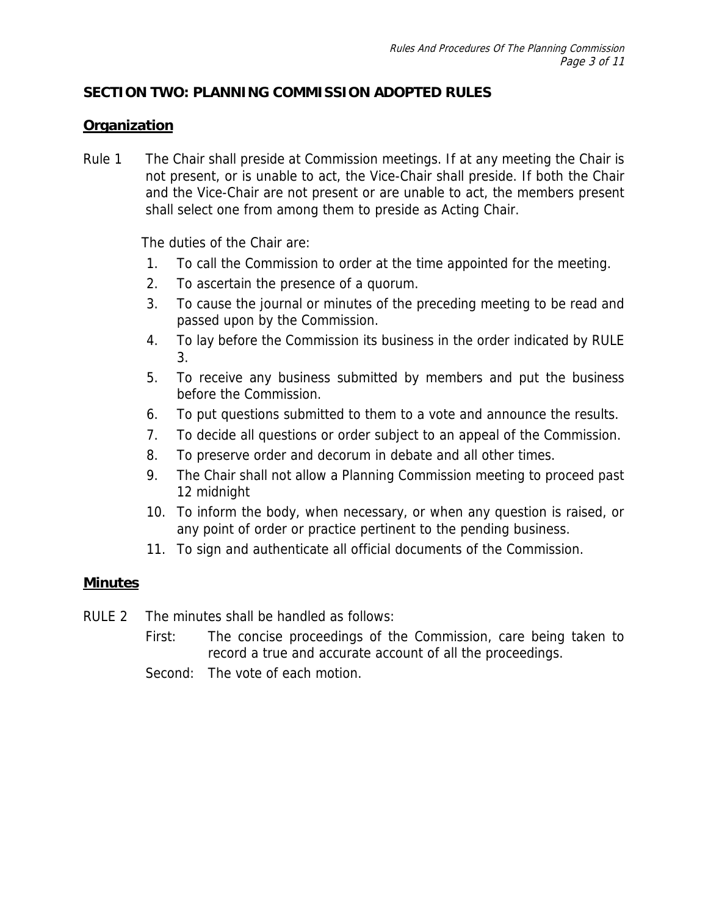# **SECTION TWO: PLANNING COMMISSION ADOPTED RULES**

# **Organization**

Rule 1 The Chair shall preside at Commission meetings. If at any meeting the Chair is not present, or is unable to act, the Vice-Chair shall preside. If both the Chair and the Vice-Chair are not present or are unable to act, the members present shall select one from among them to preside as Acting Chair.

The duties of the Chair are:

- 1. To call the Commission to order at the time appointed for the meeting.
- 2. To ascertain the presence of a quorum.
- 3. To cause the journal or minutes of the preceding meeting to be read and passed upon by the Commission.
- 4. To lay before the Commission its business in the order indicated by RULE 3.
- 5. To receive any business submitted by members and put the business before the Commission.
- 6. To put questions submitted to them to a vote and announce the results.
- 7. To decide all questions or order subject to an appeal of the Commission.
- 8. To preserve order and decorum in debate and all other times.
- 9. The Chair shall not allow a Planning Commission meeting to proceed past 12 midnight
- 10. To inform the body, when necessary, or when any question is raised, or any point of order or practice pertinent to the pending business.
- 11. To sign and authenticate all official documents of the Commission.

#### **Minutes**

RULE 2 The minutes shall be handled as follows:

First: The concise proceedings of the Commission, care being taken to record a true and accurate account of all the proceedings.

Second: The vote of each motion.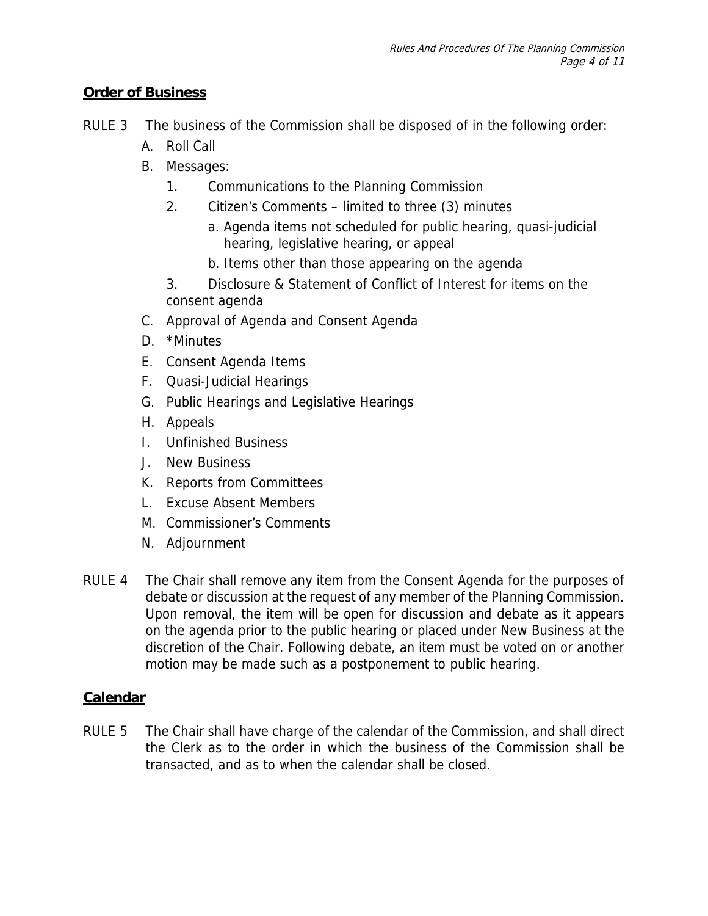# **Order of Business**

- RULE 3 The business of the Commission shall be disposed of in the following order:
	- A. Roll Call
	- B. Messages:
		- 1. Communications to the Planning Commission
		- 2. Citizen's Comments limited to three (3) minutes
			- a. Agenda items not scheduled for public hearing, quasi-judicial hearing, legislative hearing, or appeal
			- b. Items other than those appearing on the agenda

3. Disclosure & Statement of Conflict of Interest for items on the consent agenda

- C. Approval of Agenda and Consent Agenda
- D. \*Minutes
- E. Consent Agenda Items
- F. Quasi-Judicial Hearings
- G. Public Hearings and Legislative Hearings
- H. Appeals
- I. Unfinished Business
- J. New Business
- K. Reports from Committees
- L. Excuse Absent Members
- M. Commissioner's Comments
- N. Adjournment
- RULE 4 The Chair shall remove any item from the Consent Agenda for the purposes of debate or discussion at the request of any member of the Planning Commission. Upon removal, the item will be open for discussion and debate as it appears on the agenda prior to the public hearing or placed under New Business at the discretion of the Chair. Following debate, an item must be voted on or another motion may be made such as a postponement to public hearing.

# **Calendar**

RULE 5 The Chair shall have charge of the calendar of the Commission, and shall direct the Clerk as to the order in which the business of the Commission shall be transacted, and as to when the calendar shall be closed.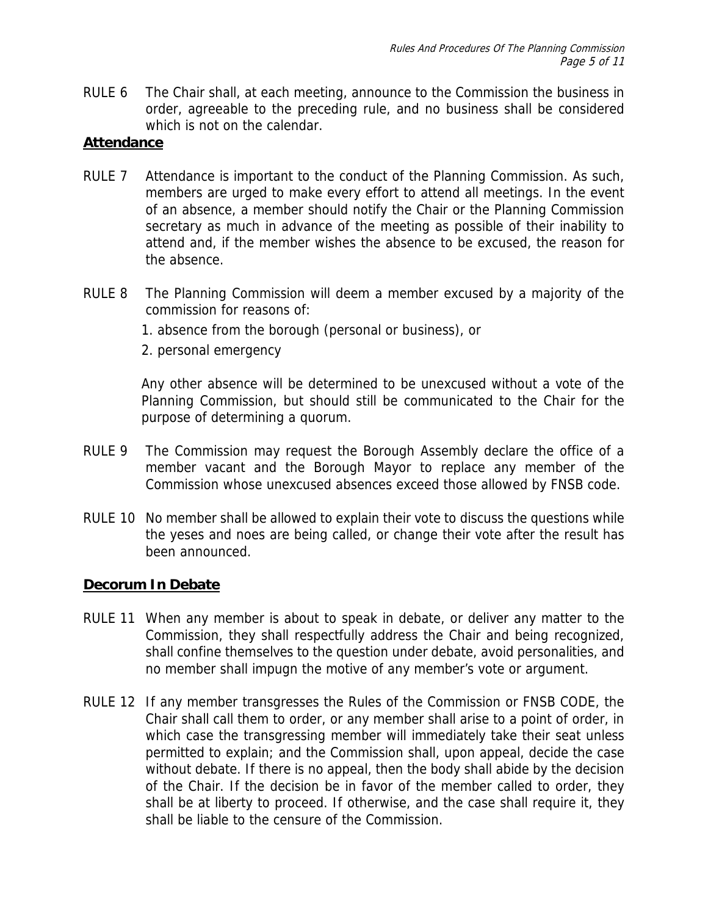RULE 6 The Chair shall, at each meeting, announce to the Commission the business in order, agreeable to the preceding rule, and no business shall be considered which is not on the calendar.

## **Attendance**

- RULE 7 Attendance is important to the conduct of the Planning Commission. As such, members are urged to make every effort to attend all meetings. In the event of an absence, a member should notify the Chair or the Planning Commission secretary as much in advance of the meeting as possible of their inability to attend and, if the member wishes the absence to be excused, the reason for the absence.
- RULE 8 The Planning Commission will deem a member excused by a majority of the commission for reasons of:
	- 1. absence from the borough (personal or business), or
	- 2. personal emergency

Any other absence will be determined to be unexcused without a vote of the Planning Commission, but should still be communicated to the Chair for the purpose of determining a quorum.

- RULE 9 The Commission may request the Borough Assembly declare the office of a member vacant and the Borough Mayor to replace any member of the Commission whose unexcused absences exceed those allowed by FNSB code.
- RULE 10 No member shall be allowed to explain their vote to discuss the questions while the yeses and noes are being called, or change their vote after the result has been announced.

#### **Decorum In Debate**

- RULE 11 When any member is about to speak in debate, or deliver any matter to the Commission, they shall respectfully address the Chair and being recognized, shall confine themselves to the question under debate, avoid personalities, and no member shall impugn the motive of any member's vote or argument.
- RULE 12 If any member transgresses the Rules of the Commission or FNSB CODE, the Chair shall call them to order, or any member shall arise to a point of order, in which case the transgressing member will immediately take their seat unless permitted to explain; and the Commission shall, upon appeal, decide the case without debate. If there is no appeal, then the body shall abide by the decision of the Chair. If the decision be in favor of the member called to order, they shall be at liberty to proceed. If otherwise, and the case shall require it, they shall be liable to the censure of the Commission.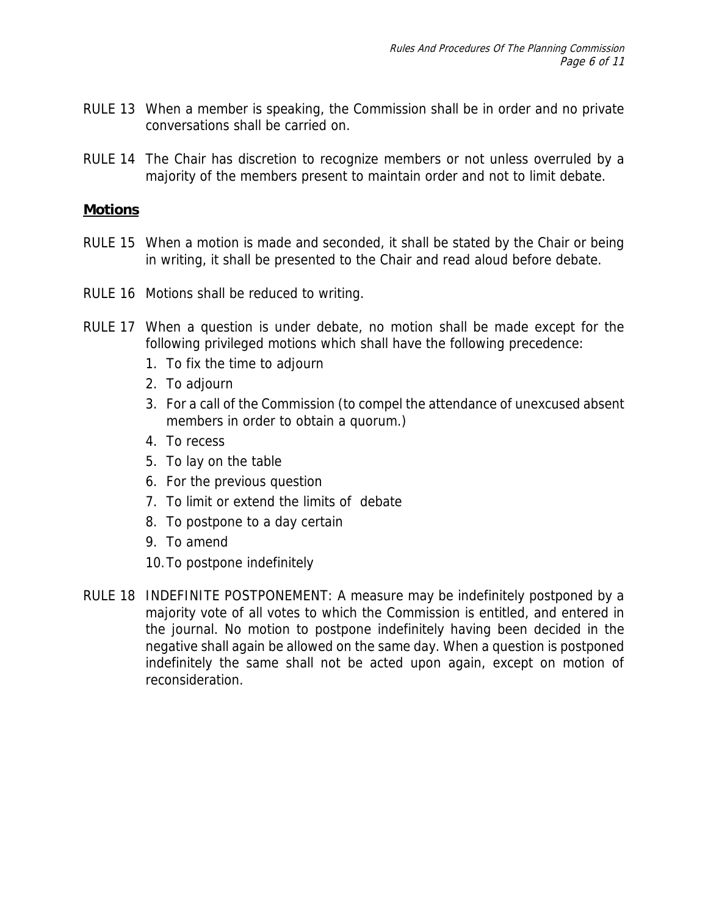- RULE 13 When a member is speaking, the Commission shall be in order and no private conversations shall be carried on.
- RULE 14 The Chair has discretion to recognize members or not unless overruled by a majority of the members present to maintain order and not to limit debate.

#### **Motions**

- RULE 15 When a motion is made and seconded, it shall be stated by the Chair or being in writing, it shall be presented to the Chair and read aloud before debate.
- RULE 16 Motions shall be reduced to writing.
- RULE 17 When a question is under debate, no motion shall be made except for the following privileged motions which shall have the following precedence:
	- 1. To fix the time to adjourn
	- 2. To adjourn
	- 3. For a call of the Commission (to compel the attendance of unexcused absent members in order to obtain a quorum.)
	- 4. To recess
	- 5. To lay on the table
	- 6. For the previous question
	- 7. To limit or extend the limits of debate
	- 8. To postpone to a day certain
	- 9. To amend
	- 10. To postpone indefinitely
- RULE 18 INDEFINITE POSTPONEMENT: A measure may be indefinitely postponed by a majority vote of all votes to which the Commission is entitled, and entered in the journal. No motion to postpone indefinitely having been decided in the negative shall again be allowed on the same day. When a question is postponed indefinitely the same shall not be acted upon again, except on motion of reconsideration.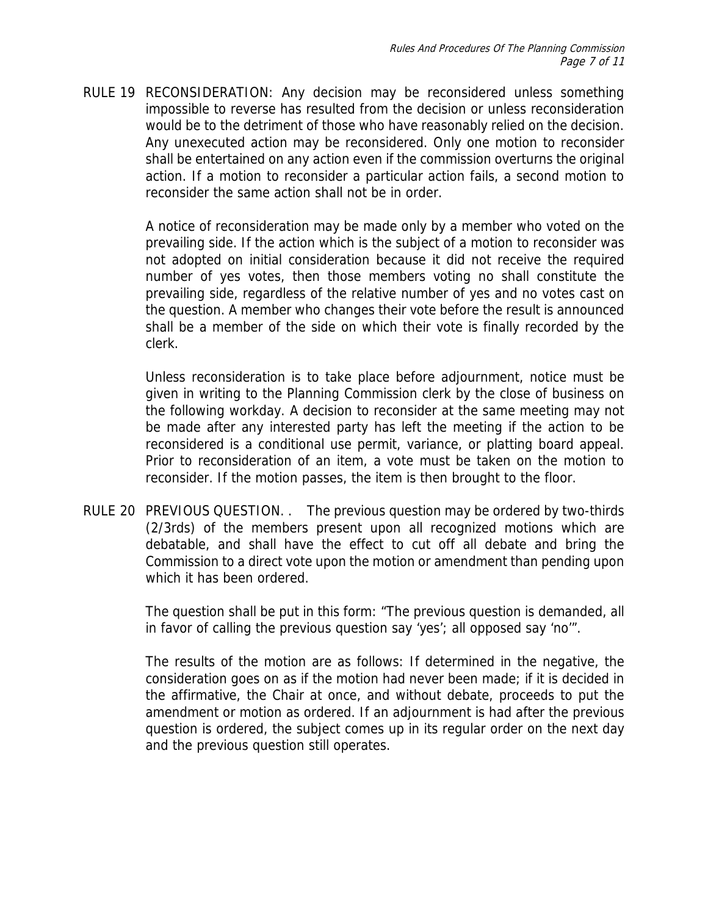RULE 19 RECONSIDERATION: Any decision may be reconsidered unless something impossible to reverse has resulted from the decision or unless reconsideration would be to the detriment of those who have reasonably relied on the decision. Any unexecuted action may be reconsidered. Only one motion to reconsider shall be entertained on any action even if the commission overturns the original action. If a motion to reconsider a particular action fails, a second motion to reconsider the same action shall not be in order.

> A notice of reconsideration may be made only by a member who voted on the prevailing side. If the action which is the subject of a motion to reconsider was not adopted on initial consideration because it did not receive the required number of yes votes, then those members voting no shall constitute the prevailing side, regardless of the relative number of yes and no votes cast on the question. A member who changes their vote before the result is announced shall be a member of the side on which their vote is finally recorded by the clerk.

> Unless reconsideration is to take place before adjournment, notice must be given in writing to the Planning Commission clerk by the close of business on the following workday. A decision to reconsider at the same meeting may not be made after any interested party has left the meeting if the action to be reconsidered is a conditional use permit, variance, or platting board appeal. Prior to reconsideration of an item, a vote must be taken on the motion to reconsider. If the motion passes, the item is then brought to the floor.

RULE 20 PREVIOUS QUESTION. . The previous question may be ordered by two-thirds (2/3rds) of the members present upon all recognized motions which are debatable, and shall have the effect to cut off all debate and bring the Commission to a direct vote upon the motion or amendment than pending upon which it has been ordered.

> The question shall be put in this form: "The previous question is demanded, all in favor of calling the previous question say 'yes'; all opposed say 'no'".

> The results of the motion are as follows: If determined in the negative, the consideration goes on as if the motion had never been made; if it is decided in the affirmative, the Chair at once, and without debate, proceeds to put the amendment or motion as ordered. If an adjournment is had after the previous question is ordered, the subject comes up in its regular order on the next day and the previous question still operates.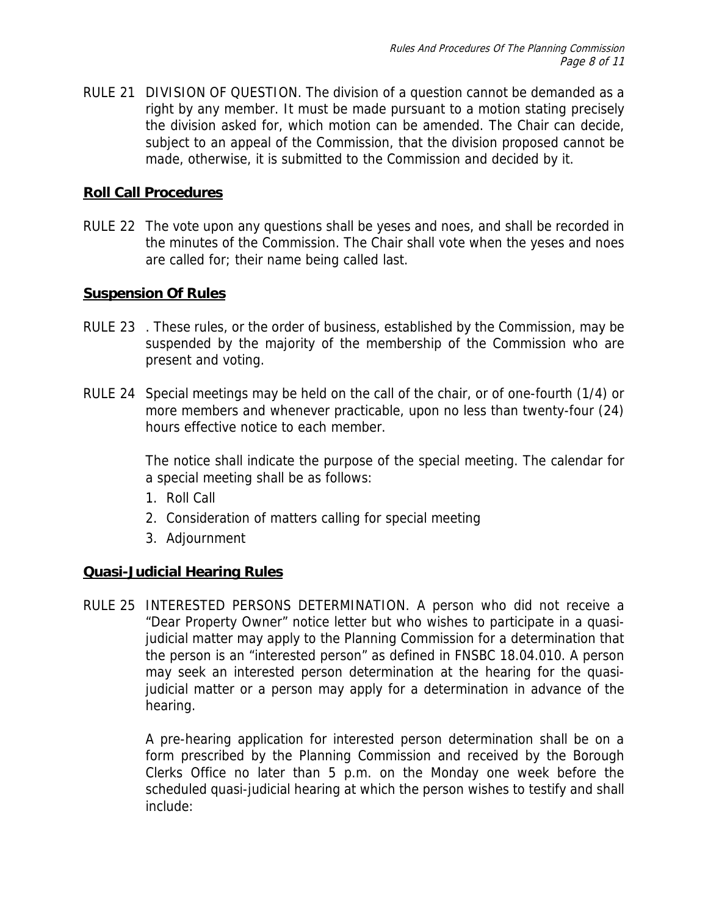RULE 21 DIVISION OF QUESTION. The division of a question cannot be demanded as a right by any member. It must be made pursuant to a motion stating precisely the division asked for, which motion can be amended. The Chair can decide, subject to an appeal of the Commission, that the division proposed cannot be made, otherwise, it is submitted to the Commission and decided by it.

#### **Roll Call Procedures**

RULE 22 The vote upon any questions shall be yeses and noes, and shall be recorded in the minutes of the Commission. The Chair shall vote when the yeses and noes are called for; their name being called last.

#### **Suspension Of Rules**

- RULE 23 . These rules, or the order of business, established by the Commission, may be suspended by the majority of the membership of the Commission who are present and voting.
- RULE 24 Special meetings may be held on the call of the chair, or of one-fourth (1/4) or more members and whenever practicable, upon no less than twenty-four (24) hours effective notice to each member.

The notice shall indicate the purpose of the special meeting. The calendar for a special meeting shall be as follows:

- 1. Roll Call
- 2. Consideration of matters calling for special meeting
- 3. Adjournment

# **Quasi-Judicial Hearing Rules**

RULE 25 INTERESTED PERSONS DETERMINATION. A person who did not receive a "Dear Property Owner" notice letter but who wishes to participate in a quasijudicial matter may apply to the Planning Commission for a determination that the person is an "interested person" as defined in FNSBC 18.04.010. A person may seek an interested person determination at the hearing for the quasijudicial matter or a person may apply for a determination in advance of the hearing.

> A pre-hearing application for interested person determination shall be on a form prescribed by the Planning Commission and received by the Borough Clerks Office no later than 5 p.m. on the Monday one week before the scheduled quasi-judicial hearing at which the person wishes to testify and shall include: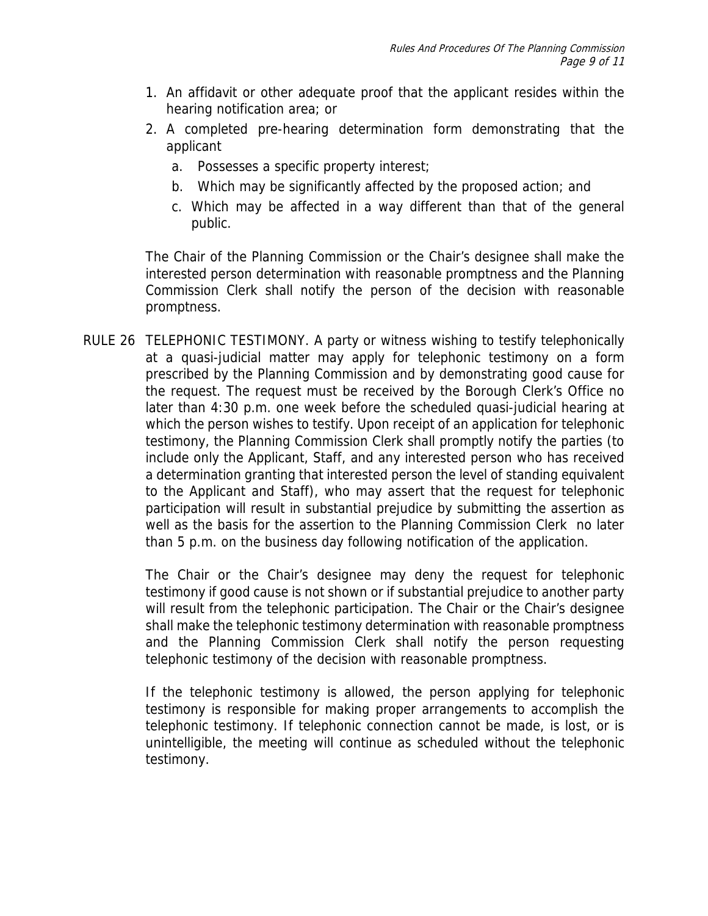- 1. An affidavit or other adequate proof that the applicant resides within the hearing notification area; or
- 2. A completed pre-hearing determination form demonstrating that the applicant
	- a. Possesses a specific property interest;
	- b. Which may be significantly affected by the proposed action; and
	- c. Which may be affected in a way different than that of the general public.

The Chair of the Planning Commission or the Chair's designee shall make the interested person determination with reasonable promptness and the Planning Commission Clerk shall notify the person of the decision with reasonable promptness.

RULE 26 TELEPHONIC TESTIMONY. A party or witness wishing to testify telephonically at a quasi-judicial matter may apply for telephonic testimony on a form prescribed by the Planning Commission and by demonstrating good cause for the request. The request must be received by the Borough Clerk's Office no later than 4:30 p.m. one week before the scheduled quasi-judicial hearing at which the person wishes to testify. Upon receipt of an application for telephonic testimony, the Planning Commission Clerk shall promptly notify the parties (to include only the Applicant, Staff, and any interested person who has received a determination granting that interested person the level of standing equivalent to the Applicant and Staff), who may assert that the request for telephonic participation will result in substantial prejudice by submitting the assertion as well as the basis for the assertion to the Planning Commission Clerk no later than 5 p.m. on the business day following notification of the application.

> The Chair or the Chair's designee may deny the request for telephonic testimony if good cause is not shown or if substantial prejudice to another party will result from the telephonic participation. The Chair or the Chair's designee shall make the telephonic testimony determination with reasonable promptness and the Planning Commission Clerk shall notify the person requesting telephonic testimony of the decision with reasonable promptness.

> If the telephonic testimony is allowed, the person applying for telephonic testimony is responsible for making proper arrangements to accomplish the telephonic testimony. If telephonic connection cannot be made, is lost, or is unintelligible, the meeting will continue as scheduled without the telephonic testimony.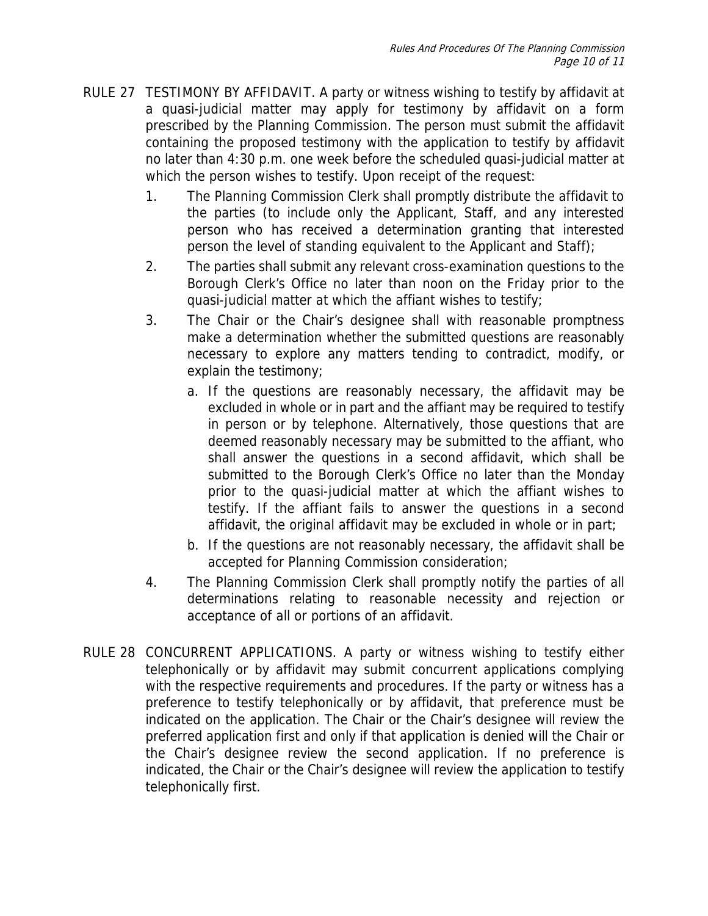- RULE 27 TESTIMONY BY AFFIDAVIT. A party or witness wishing to testify by affidavit at a quasi-judicial matter may apply for testimony by affidavit on a form prescribed by the Planning Commission. The person must submit the affidavit containing the proposed testimony with the application to testify by affidavit no later than 4:30 p.m. one week before the scheduled quasi-judicial matter at which the person wishes to testify. Upon receipt of the request:
	- 1. The Planning Commission Clerk shall promptly distribute the affidavit to the parties (to include only the Applicant, Staff, and any interested person who has received a determination granting that interested person the level of standing equivalent to the Applicant and Staff);
	- 2. The parties shall submit any relevant cross-examination questions to the Borough Clerk's Office no later than noon on the Friday prior to the quasi-judicial matter at which the affiant wishes to testify;
	- 3. The Chair or the Chair's designee shall with reasonable promptness make a determination whether the submitted questions are reasonably necessary to explore any matters tending to contradict, modify, or explain the testimony;
		- a. If the questions are reasonably necessary, the affidavit may be excluded in whole or in part and the affiant may be required to testify in person or by telephone. Alternatively, those questions that are deemed reasonably necessary may be submitted to the affiant, who shall answer the questions in a second affidavit, which shall be submitted to the Borough Clerk's Office no later than the Monday prior to the quasi-judicial matter at which the affiant wishes to testify. If the affiant fails to answer the questions in a second affidavit, the original affidavit may be excluded in whole or in part;
		- b. If the questions are not reasonably necessary, the affidavit shall be accepted for Planning Commission consideration;
	- 4. The Planning Commission Clerk shall promptly notify the parties of all determinations relating to reasonable necessity and rejection or acceptance of all or portions of an affidavit.
- RULE 28 CONCURRENT APPLICATIONS. A party or witness wishing to testify either telephonically or by affidavit may submit concurrent applications complying with the respective requirements and procedures. If the party or witness has a preference to testify telephonically or by affidavit, that preference must be indicated on the application. The Chair or the Chair's designee will review the preferred application first and only if that application is denied will the Chair or the Chair's designee review the second application. If no preference is indicated, the Chair or the Chair's designee will review the application to testify telephonically first.